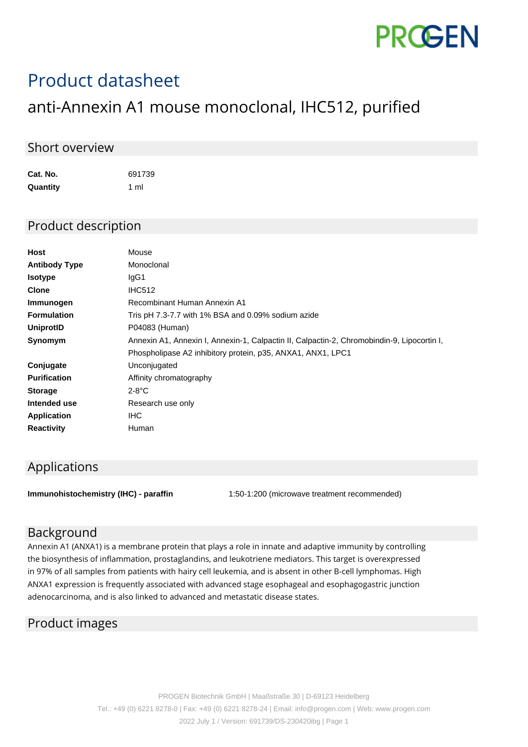

# Product datasheet

# anti-Annexin A1 mouse monoclonal, IHC512, purified

#### Short overview

**Cat. No.** 691739 **Quantity** 1 ml

#### Product description

| Host                 | Mouse                                                                                      |
|----------------------|--------------------------------------------------------------------------------------------|
| <b>Antibody Type</b> | Monoclonal                                                                                 |
| <b>Isotype</b>       | IgG1                                                                                       |
| <b>Clone</b>         | <b>IHC512</b>                                                                              |
| Immunogen            | Recombinant Human Annexin A1                                                               |
| <b>Formulation</b>   | Tris pH 7.3-7.7 with 1% BSA and 0.09% sodium azide                                         |
| UniprotID            | P04083 (Human)                                                                             |
| Synomym              | Annexin A1, Annexin I, Annexin-1, Calpactin II, Calpactin-2, Chromobindin-9, Lipocortin I, |
|                      | Phospholipase A2 inhibitory protein, p35, ANXA1, ANX1, LPC1                                |
| Conjugate            | Unconjugated                                                                               |
| <b>Purification</b>  | Affinity chromatography                                                                    |
| <b>Storage</b>       | $2-8$ °C                                                                                   |
| Intended use         | Research use only                                                                          |
| <b>Application</b>   | IHC.                                                                                       |
| <b>Reactivity</b>    | Human                                                                                      |
|                      |                                                                                            |

## Applications

**Immunohistochemistry (IHC) - paraffin** 1:50-1:200 (microwave treatment recommended)

## Background

Annexin A1 (ANXA1) is a membrane protein that plays a role in innate and adaptive immunity by controlling the biosynthesis of inflammation, prostaglandins, and leukotriene mediators. This target is overexpressed in 97% of all samples from patients with hairy cell leukemia, and is absent in other B-cell lymphomas. High ANXA1 expression is frequently associated with advanced stage esophageal and esophagogastric junction adenocarcinoma, and is also linked to advanced and metastatic disease states.

#### Product images